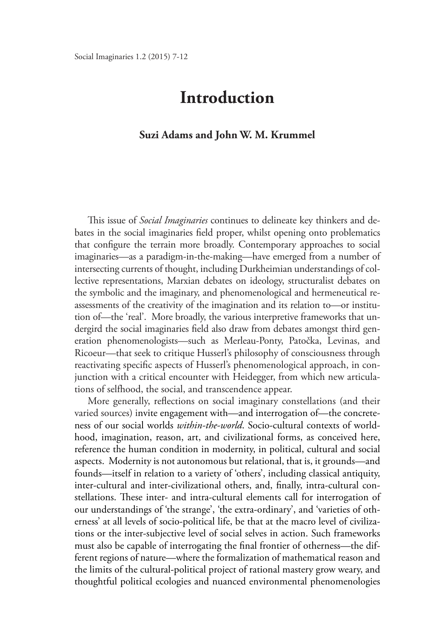## **Introduction**

## **Suzi Adams and John W. M. Krummel**

This issue of *Social Imaginaries* continues to delineate key thinkers and debates in the social imaginaries field proper, whilst opening onto problematics that configure the terrain more broadly. Contemporary approaches to social imaginaries—as a paradigm-in-the-making—have emerged from a number of intersecting currents of thought, including Durkheimian understandings of collective representations, Marxian debates on ideology, structuralist debates on the symbolic and the imaginary, and phenomenological and hermeneutical reassessments of the creativity of the imagination and its relation to—or institution of—the 'real'. More broadly, the various interpretive frameworks that undergird the social imaginaries field also draw from debates amongst third generation phenomenologists—such as Merleau-Ponty, Patočka, Levinas, and Ricoeur—that seek to critique Husserl's philosophy of consciousness through reactivating specific aspects of Husserl's phenomenological approach, in conjunction with a critical encounter with Heidegger, from which new articulations of selfhood, the social, and transcendence appear.

More generally, reflections on social imaginary constellations (and their varied sources) invite engagement with—and interrogation of—the concreteness of our social worlds *within-the-world*. Socio-cultural contexts of worldhood, imagination, reason, art, and civilizational forms, as conceived here, reference the human condition in modernity, in political, cultural and social aspects. Modernity is not autonomous but relational, that is, it grounds—and founds—itself in relation to a variety of 'others', including classical antiquity, inter-cultural and inter-civilizational others, and, finally, intra-cultural constellations. These inter- and intra-cultural elements call for interrogation of our understandings of 'the strange', 'the extra-ordinary', and 'varieties of otherness' at all levels of socio-political life, be that at the macro level of civilizations or the inter-subjective level of social selves in action. Such frameworks must also be capable of interrogating the final frontier of otherness—the different regions of nature—where the formalization of mathematical reason and the limits of the cultural-political project of rational mastery grow weary, and thoughtful political ecologies and nuanced environmental phenomenologies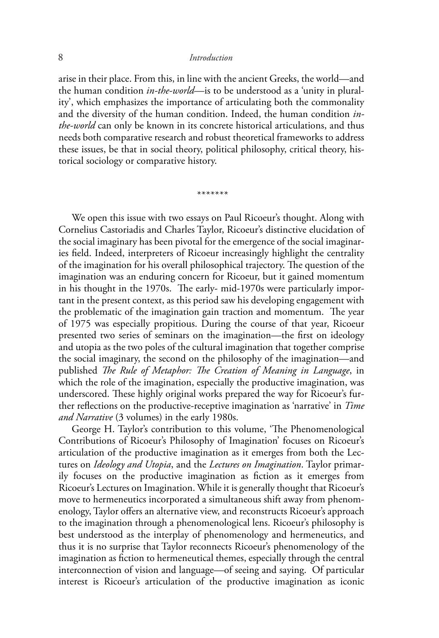## 8 *Introduction*

arise in their place. From this, in line with the ancient Greeks, the world—and the human condition *in-the-world*—is to be understood as a 'unity in plurality', which emphasizes the importance of articulating both the commonality and the diversity of the human condition. Indeed, the human condition *inthe-world* can only be known in its concrete historical articulations, and thus needs both comparative research and robust theoretical frameworks to address these issues, be that in social theory, political philosophy, critical theory, historical sociology or comparative history.

*\*\*\*\*\*\*\**

We open this issue with two essays on Paul Ricoeur's thought. Along with Cornelius Castoriadis and Charles Taylor, Ricoeur's distinctive elucidation of the social imaginary has been pivotal for the emergence of the social imaginaries field. Indeed, interpreters of Ricoeur increasingly highlight the centrality of the imagination for his overall philosophical trajectory. The question of the imagination was an enduring concern for Ricoeur, but it gained momentum in his thought in the 1970s. The early- mid-1970s were particularly important in the present context, as this period saw his developing engagement with the problematic of the imagination gain traction and momentum. The year of 1975 was especially propitious. During the course of that year, Ricoeur presented two series of seminars on the imagination—the first on ideology and utopia as the two poles of the cultural imagination that together comprise the social imaginary, the second on the philosophy of the imagination—and published *The Rule of Metaphor: The Creation of Meaning in Language*, in which the role of the imagination, especially the productive imagination, was underscored. These highly original works prepared the way for Ricoeur's further reflections on the productive-receptive imagination as 'narrative' in *Time and Narrative* (3 volumes) in the early 1980s.

George H. Taylor's contribution to this volume, 'The Phenomenological Contributions of Ricoeur's Philosophy of Imagination' focuses on Ricoeur's articulation of the productive imagination as it emerges from both the Lectures on *Ideology and Utopia*, and the *Lectures on Imagination*. Taylor primarily focuses on the productive imagination as fiction as it emerges from Ricoeur's Lectures on Imagination. While it is generally thought that Ricoeur's move to hermeneutics incorporated a simultaneous shift away from phenomenology, Taylor offers an alternative view, and reconstructs Ricoeur's approach to the imagination through a phenomenological lens. Ricoeur's philosophy is best understood as the interplay of phenomenology and hermeneutics, and thus it is no surprise that Taylor reconnects Ricoeur's phenomenology of the imagination as fiction to hermeneutical themes, especially through the central interconnection of vision and language—of seeing and saying. Of particular interest is Ricoeur's articulation of the productive imagination as iconic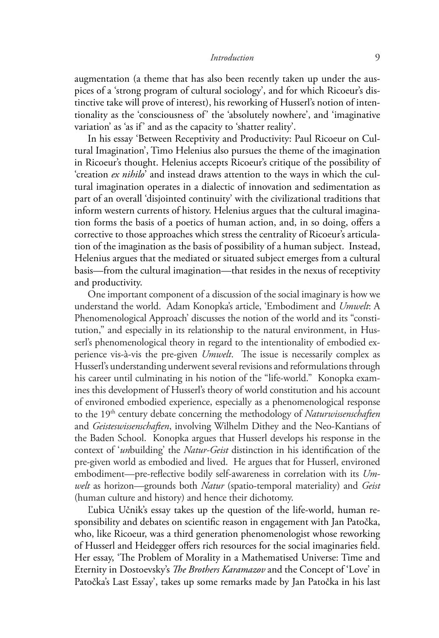augmentation (a theme that has also been recently taken up under the auspices of a 'strong program of cultural sociology', and for which Ricoeur's distinctive take will prove of interest), his reworking of Husserl's notion of intentionality as the 'consciousness of' the 'absolutely nowhere', and 'imaginative variation' as 'as if' and as the capacity to 'shatter reality'.

In his essay 'Between Receptivity and Productivity: Paul Ricoeur on Cultural Imagination', Timo Helenius also pursues the theme of the imagination in Ricoeur's thought. Helenius accepts Ricoeur's critique of the possibility of 'creation *ex nihilo*' and instead draws attention to the ways in which the cultural imagination operates in a dialectic of innovation and sedimentation as part of an overall 'disjointed continuity' with the civilizational traditions that inform western currents of history. Helenius argues that the cultural imagination forms the basis of a poetics of human action, and, in so doing, offers a corrective to those approaches which stress the centrality of Ricoeur's articulation of the imagination as the basis of possibility of a human subject. Instead, Helenius argues that the mediated or situated subject emerges from a cultural basis—from the cultural imagination—that resides in the nexus of receptivity and productivity.

One important component of a discussion of the social imaginary is how we understand the world. Adam Konopka's article, 'Embodiment and *Umwelt*: A Phenomenological Approach' discusses the notion of the world and its "constitution," and especially in its relationship to the natural environment, in Husserl's phenomenological theory in regard to the intentionality of embodied experience vis-à-vis the pre-given *Umwelt*. The issue is necessarily complex as Husserl's understanding underwent several revisions and reformulations through his career until culminating in his notion of the "life-world." Konopka examines this development of Husserl's theory of world constitution and his account of environed embodied experience, especially as a phenomenological response to the 19<sup>th</sup> century debate concerning the methodology of *Naturwissenschaften* and *Geisteswissenschaften*, involving Wilhelm Dithey and the Neo-Kantians of the Baden School. Konopka argues that Husserl develops his response in the context of '*un*building' the *Natur-Geist* distinction in his identification of the pre-given world as embodied and lived. He argues that for Husserl, environed embodiment—pre-reflective bodily self-awareness in correlation with its *Umwelt* as horizon—grounds both *Natur* (spatio-temporal materiality) and *Geist* (human culture and history) and hence their dichotomy.

Ľubica Učnik's essay takes up the question of the life-world, human responsibility and debates on scientific reason in engagement with Jan Patočka, who, like Ricoeur, was a third generation phenomenologist whose reworking of Husserl and Heidegger offers rich resources for the social imaginaries field. Her essay, 'The Problem of Morality in a Mathematised Universe: Time and Eternity in Dostoevsky's *The Brothers Karamazov* and the Concept of 'Love' in Patočka's Last Essay', takes up some remarks made by Jan Patočka in his last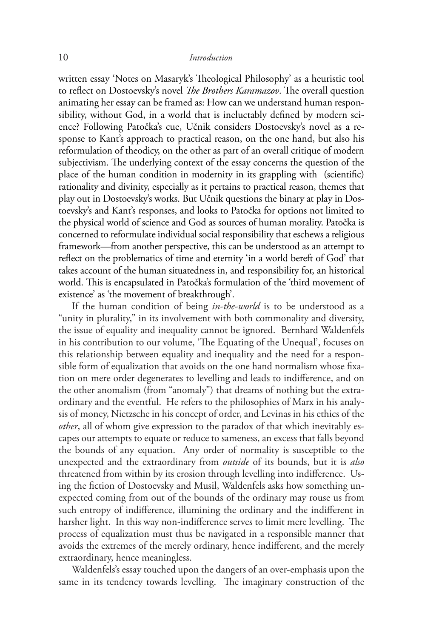written essay 'Notes on Masaryk's Theological Philosophy' as a heuristic tool to reflect on Dostoevsky's novel *The Brothers Karamazov*. The overall question animating her essay can be framed as: How can we understand human responsibility, without God, in a world that is ineluctably defined by modern science? Following Patočka's cue, Učnik considers Dostoevsky's novel as a response to Kant's approach to practical reason, on the one hand, but also his reformulation of theodicy, on the other as part of an overall critique of modern subjectivism. The underlying context of the essay concerns the question of the place of the human condition in modernity in its grappling with (scientific) rationality and divinity, especially as it pertains to practical reason, themes that play out in Dostoevsky's works. But Učnik questions the binary at play in Dostoevsky's and Kant's responses, and looks to Patočka for options not limited to the physical world of science and God as sources of human morality. Patočka is concerned to reformulate individual social responsibility that eschews a religious framework—from another perspective, this can be understood as an attempt to reflect on the problematics of time and eternity 'in a world bereft of God' that takes account of the human situatedness in, and responsibility for, an historical world. This is encapsulated in Patočka's formulation of the 'third movement of existence' as 'the movement of breakthrough'.

If the human condition of being *in-the-world* is to be understood as a "unity in plurality," in its involvement with both commonality and diversity, the issue of equality and inequality cannot be ignored. Bernhard Waldenfels in his contribution to our volume, 'The Equating of the Unequal', focuses on this relationship between equality and inequality and the need for a responsible form of equalization that avoids on the one hand normalism whose fixation on mere order degenerates to levelling and leads to indifference, and on the other anomalism (from "anomaly") that dreams of nothing but the extraordinary and the eventful. He refers to the philosophies of Marx in his analysis of money, Nietzsche in his concept of order, and Levinas in his ethics of the *other*, all of whom give expression to the paradox of that which inevitably escapes our attempts to equate or reduce to sameness, an excess that falls beyond the bounds of any equation. Any order of normality is susceptible to the unexpected and the extraordinary from *outside* of its bounds, but it is *also* threatened from within by its erosion through levelling into indifference. Using the fiction of Dostoevsky and Musil, Waldenfels asks how something unexpected coming from out of the bounds of the ordinary may rouse us from such entropy of indifference, illumining the ordinary and the indifferent in harsher light. In this way non-indifference serves to limit mere levelling. The process of equalization must thus be navigated in a responsible manner that avoids the extremes of the merely ordinary, hence indifferent, and the merely extraordinary, hence meaningless.

Waldenfels's essay touched upon the dangers of an over-emphasis upon the same in its tendency towards levelling. The imaginary construction of the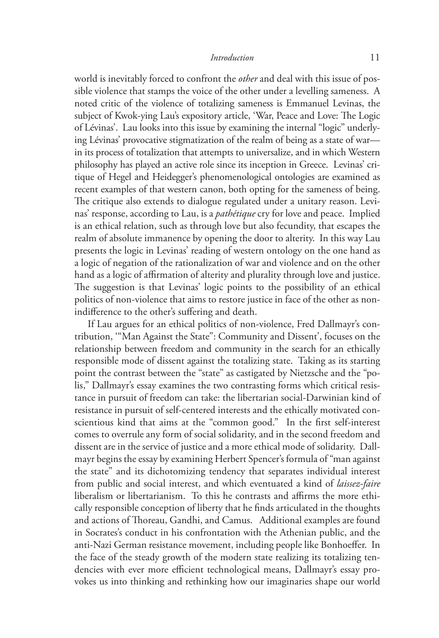## *Introduction* 11

world is inevitably forced to confront the *other* and deal with this issue of possible violence that stamps the voice of the other under a levelling sameness. A noted critic of the violence of totalizing sameness is Emmanuel Levinas, the subject of Kwok-ying Lau's expository article, 'War, Peace and Love: The Logic of Lévinas'. Lau looks into this issue by examining the internal "logic" underlying Lévinas' provocative stigmatization of the realm of being as a state of war in its process of totalization that attempts to universalize, and in which Western philosophy has played an active role since its inception in Greece. Levinas' critique of Hegel and Heidegger's phenomenological ontologies are examined as recent examples of that western canon, both opting for the sameness of being. The critique also extends to dialogue regulated under a unitary reason. Levinas' response, according to Lau, is a *pathétique* cry for love and peace. Implied is an ethical relation, such as through love but also fecundity, that escapes the realm of absolute immanence by opening the door to alterity. In this way Lau presents the logic in Levinas' reading of western ontology on the one hand as a logic of negation of the rationalization of war and violence and on the other hand as a logic of affirmation of alterity and plurality through love and justice. The suggestion is that Levinas' logic points to the possibility of an ethical politics of non-violence that aims to restore justice in face of the other as nonindifference to the other's suffering and death.

If Lau argues for an ethical politics of non-violence, Fred Dallmayr's contribution, '"Man Against the State": Community and Dissent', focuses on the relationship between freedom and community in the search for an ethically responsible mode of dissent against the totalizing state. Taking as its starting point the contrast between the "state" as castigated by Nietzsche and the "polis," Dallmayr's essay examines the two contrasting forms which critical resistance in pursuit of freedom can take: the libertarian social-Darwinian kind of resistance in pursuit of self-centered interests and the ethically motivated conscientious kind that aims at the "common good." In the first self-interest comes to overrule any form of social solidarity, and in the second freedom and dissent are in the service of justice and a more ethical mode of solidarity. Dallmayr begins the essay by examining Herbert Spencer's formula of "man against the state" and its dichotomizing tendency that separates individual interest from public and social interest, and which eventuated a kind of *laissez-faire* liberalism or libertarianism. To this he contrasts and affirms the more ethically responsible conception of liberty that he finds articulated in the thoughts and actions of Thoreau, Gandhi, and Camus. Additional examples are found in Socrates's conduct in his confrontation with the Athenian public, and the anti-Nazi German resistance movement, including people like Bonhoeffer. In the face of the steady growth of the modern state realizing its totalizing tendencies with ever more efficient technological means, Dallmayr's essay provokes us into thinking and rethinking how our imaginaries shape our world